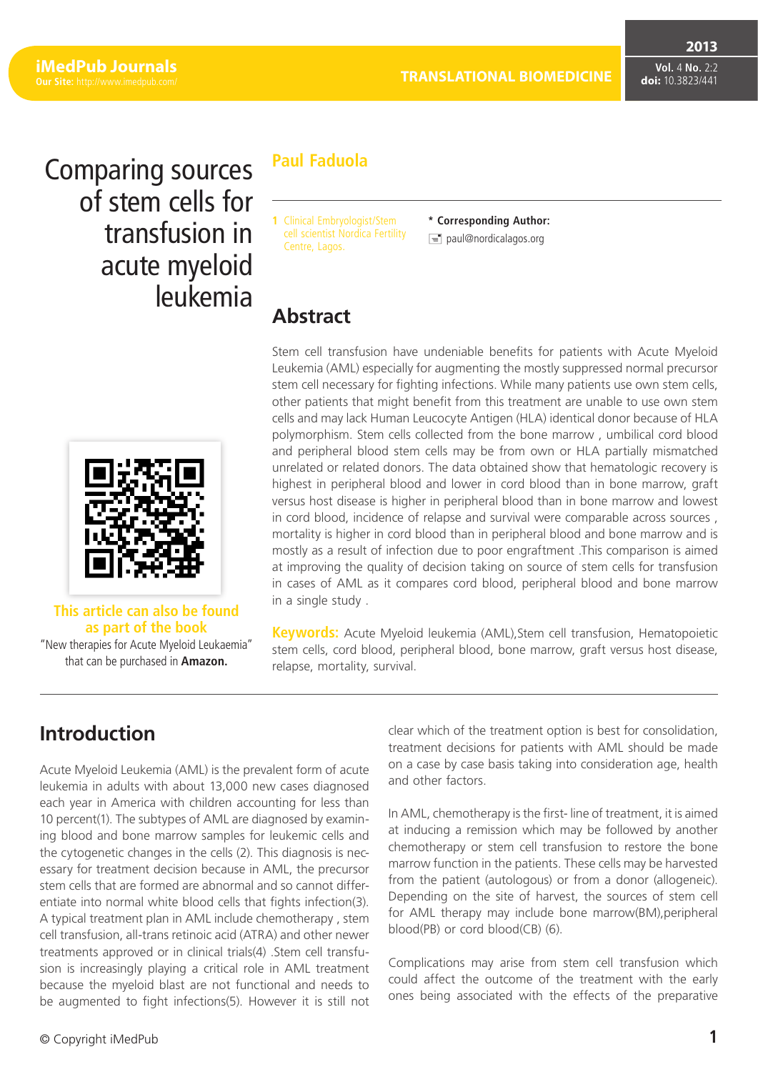#### **TRANSLATIONAL BIOMEDICINE**

**Vol.** 4 **No.** 2:2 **doi:** 10.3823/441

**2013**

# Comparing sources of stem cells for transfusion in acute myeloid leukemia



**This article can also be found as part of the book** "New therapies for Acute Myeloid Leukaemia"

that can be purchased in **Amazon.**

### **Paul Faduola**

- **1** Clinical Embryologist/Stem cell scientist Nordica Fertility Centre, Lagos.
- **\* Corresponding Author:**  $\equiv$  paul@nordicalagos.org

### **Abstract**

Stem cell transfusion have undeniable benefits for patients with Acute Myeloid Leukemia (AML) especially for augmenting the mostly suppressed normal precursor stem cell necessary for fighting infections. While many patients use own stem cells, other patients that might benefit from this treatment are unable to use own stem cells and may lack Human Leucocyte Antigen (HLA) identical donor because of HLA polymorphism. Stem cells collected from the bone marrow , umbilical cord blood and peripheral blood stem cells may be from own or HLA partially mismatched unrelated or related donors. The data obtained show that hematologic recovery is highest in peripheral blood and lower in cord blood than in bone marrow, graft versus host disease is higher in peripheral blood than in bone marrow and lowest in cord blood, incidence of relapse and survival were comparable across sources , mortality is higher in cord blood than in peripheral blood and bone marrow and is mostly as a result of infection due to poor engraftment .This comparison is aimed at improving the quality of decision taking on source of stem cells for transfusion in cases of AML as it compares cord blood, peripheral blood and bone marrow in a single study .

**Keywords:** Acute Myeloid leukemia (AML),Stem cell transfusion, Hematopoietic stem cells, cord blood, peripheral blood, bone marrow, graft versus host disease, relapse, mortality, survival.

### **Introduction**

Acute Myeloid Leukemia (AML) is the prevalent form of acute leukemia in adults with about 13,000 new cases diagnosed each year in America with children accounting for less than 10 percent(1). The subtypes of AML are diagnosed by examining blood and bone marrow samples for leukemic cells and the cytogenetic changes in the cells (2). This diagnosis is necessary for treatment decision because in AML, the precursor stem cells that are formed are abnormal and so cannot differentiate into normal white blood cells that fights infection(3). A typical treatment plan in AML include chemotherapy , stem cell transfusion, all-trans retinoic acid (ATRA) and other newer treatments approved or in clinical trials(4) .Stem cell transfusion is increasingly playing a critical role in AML treatment because the myeloid blast are not functional and needs to be augmented to fight infections(5). However it is still not clear which of the treatment option is best for consolidation, treatment decisions for patients with AML should be made on a case by case basis taking into consideration age, health and other factors.

In AML, chemotherapy is the first- line of treatment, it is aimed at inducing a remission which may be followed by another chemotherapy or stem cell transfusion to restore the bone marrow function in the patients. These cells may be harvested from the patient (autologous) or from a donor (allogeneic). Depending on the site of harvest, the sources of stem cell for AML therapy may include bone marrow(BM),peripheral blood(PB) or cord blood(CB) (6).

Complications may arise from stem cell transfusion which could affect the outcome of the treatment with the early ones being associated with the effects of the preparative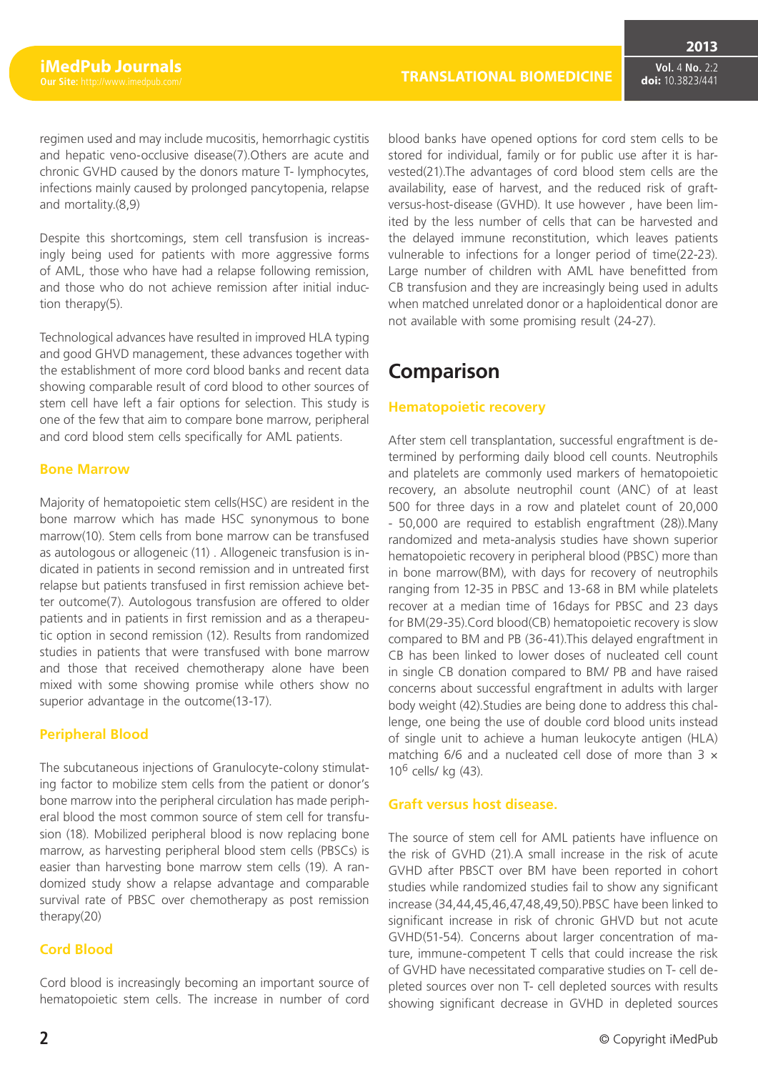regimen used and may include mucositis, hemorrhagic cystitis and hepatic veno-occlusive disease(7).Others are acute and chronic GVHD caused by the donors mature T- lymphocytes, infections mainly caused by prolonged pancytopenia, relapse and mortality.(8,9)

Despite this shortcomings, stem cell transfusion is increasingly being used for patients with more aggressive forms of AML, those who have had a relapse following remission, and those who do not achieve remission after initial induction therapy(5).

Technological advances have resulted in improved HLA typing and good GHVD management, these advances together with the establishment of more cord blood banks and recent data showing comparable result of cord blood to other sources of stem cell have left a fair options for selection. This study is one of the few that aim to compare bone marrow, peripheral and cord blood stem cells specifically for AML patients.

#### **Bone Marrow**

Majority of hematopoietic stem cells(HSC) are resident in the bone marrow which has made HSC synonymous to bone marrow(10). Stem cells from bone marrow can be transfused as autologous or allogeneic (11) . Allogeneic transfusion is indicated in patients in second remission and in untreated first relapse but patients transfused in first remission achieve better outcome(7). Autologous transfusion are offered to older patients and in patients in first remission and as a therapeutic option in second remission (12). Results from randomized studies in patients that were transfused with bone marrow and those that received chemotherapy alone have been mixed with some showing promise while others show no superior advantage in the outcome(13-17).

#### **Peripheral Blood**

The subcutaneous injections of [Granulocyte-colony stimulat](http://en.wikipedia.org/wiki/Granulocyte-colony_stimulating_factor)[ing factor](http://en.wikipedia.org/wiki/Granulocyte-colony_stimulating_factor) to mobilize stem cells from the patient or donor's bone marrow into the peripheral circulation has made peripheral blood the most common source of stem cell for transfusion (18). Mobilized peripheral blood is now replacing bone marrow, as harvesting peripheral blood stem cells (PBSCs) is easier than harvesting bone marrow stem cells (19). A randomized study show a relapse advantage and comparable survival rate of PBSC over chemotherapy as post remission therapy(20)

#### **Cord Blood**

Cord blood is increasingly becoming an important source of hematopoietic stem cells. The increase in number of cord blood banks have opened options for cord stem cells to be stored for individual, family or for public use after it is harvested(21).The advantages of cord blood stem cells are the availability, ease of harvest, and the reduced risk of graftversus-host-disease (GVHD). It use however , have been limited by the less number of cells that can be harvested and the delayed immune reconstitution, which leaves patients vulnerable to infections for a longer period of time(22-23). Large number of children with AML have benefitted from CB transfusion and they are increasingly being used in adults when matched unrelated donor or a haploidentical donor are not available with some promising result (24-27).

### **Comparison**

#### **Hematopoietic recovery**

After stem cell transplantation, successful engraftment is determined by performing daily blood cell counts. Neutrophils and platelets are commonly used markers of hematopoietic recovery, an absolute neutrophil count (ANC) of at least 500 for three days in a row and platelet count of 20,000 - 50,000 are required to establish engraftment (28)).Many randomized and meta-analysis studies have shown superior hematopoietic recovery in peripheral blood (PBSC) more than in bone marrow(BM), with days for recovery of neutrophils ranging from 12-35 in PBSC and 13-68 in BM while platelets recover at a median time of 16days for PBSC and 23 days for BM(29-35).Cord blood(CB) hematopoietic recovery is slow compared to BM and PB (36-41).This delayed engraftment in CB has been linked to lower doses of nucleated cell count in single CB donation compared to BM/ PB and have raised concerns about successful engraftment in adults with larger body weight (42).Studies are being done to address this challenge, one being the use of double cord blood units instead of single unit to achieve a human leukocyte antigen (HLA) matching 6/6 and a nucleated cell dose of more than 3  $\times$  $10^6$  cells/ kg (43).

#### **Graft versus host disease.**

The source of stem cell for AML patients have influence on the risk of GVHD (21).A small increase in the risk of acute GVHD after PBSCT over BM have been reported in cohort studies while randomized studies fail to show any significant increase (34,44,45,46,47,48,49,50).PBSC have been linked to significant increase in risk of chronic GHVD but not acute GVHD(51-54). Concerns about larger concentration of mature, immune-competent T cells that could increase the risk of GVHD have necessitated comparative studies on T- cell depleted sources over non T- cell depleted sources with results showing significant decrease in GVHD in depleted sources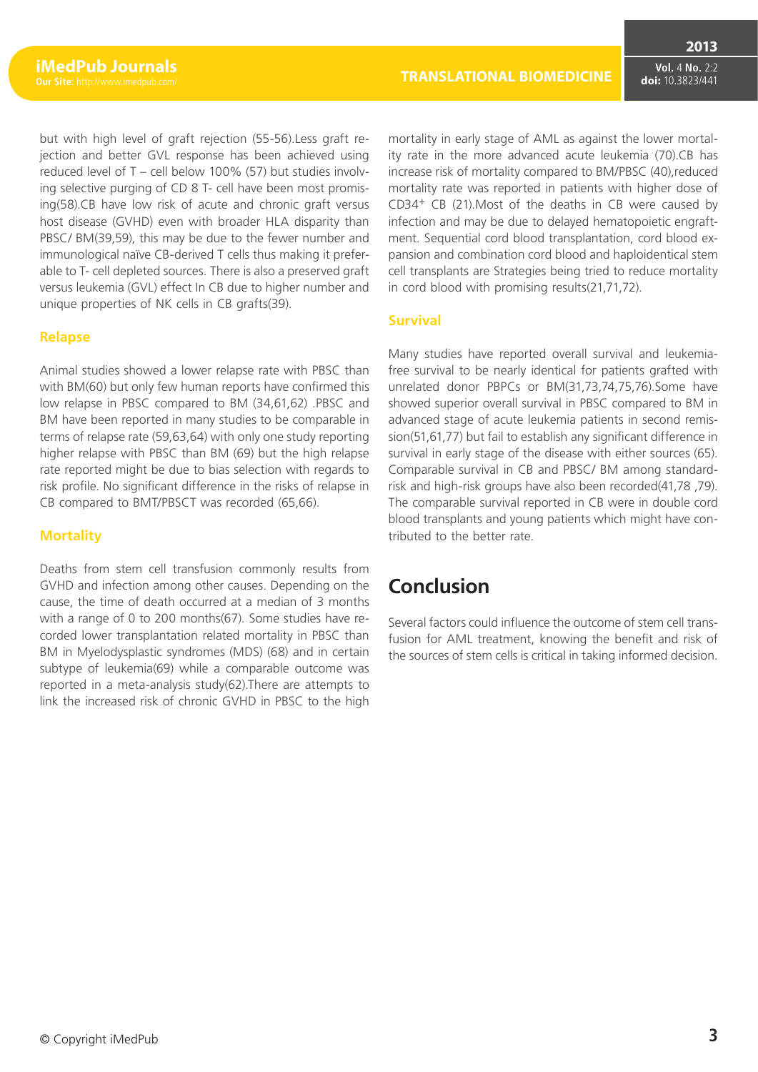but with high level of graft rejection (55-56).Less graft rejection and better GVL response has been achieved using reduced level of T – cell below 100% (57) but studies involving selective purging of CD 8 T- cell have been most promising(58).CB have low risk of acute and chronic graft versus host disease (GVHD) even with broader HLA disparity than PBSC/ BM(39,59), this may be due to the fewer number and immunological naïve CB-derived T cells thus making it preferable to T- cell depleted sources. There is also a preserved graft versus leukemia (GVL) effect In CB due to higher number and unique properties of NK cells in CB grafts(39).

#### **Relapse**

Animal studies showed a lower relapse rate with PBSC than with BM(60) but only few human reports have confirmed this low relapse in PBSC compared to BM (34,61,62) .PBSC and BM have been reported in many studies to be comparable in terms of relapse rate (59,63,64) with only one study reporting higher relapse with PBSC than BM (69) but the high relapse rate reported might be due to bias selection with regards to risk profile. No significant difference in the risks of relapse in CB compared to BMT/PBSCT was recorded (65,66).

#### **Mortality**

Deaths from stem cell transfusion commonly results from GVHD and infection among other causes. Depending on the cause, the time of death occurred at a median of 3 months with a range of 0 to 200 months(67). Some studies have recorded lower transplantation related mortality in PBSC than BM in Myelodysplastic syndromes (MDS) (68) and in certain subtype of leukemia(69) while a comparable outcome was reported in a meta-analysis study(62).There are attempts to link the increased risk of chronic GVHD in PBSC to the high mortality in early stage of AML as against the lower mortality rate in the more advanced acute leukemia (70).CB has increase risk of mortality compared to BM/PBSC (40),reduced mortality rate was reported in patients with higher dose of CD34+ CB (21).Most of the deaths in CB were caused by infection and may be due to delayed hematopoietic engraftment. Sequential cord blood transplantation, cord blood expansion and combination cord blood and haploidentical stem cell transplants are Strategies being tried to reduce mortality in cord blood with promising results(21,71,72).

#### **Survival**

Many studies have reported overall survival and leukemiafree survival to be nearly identical for patients grafted with unrelated donor PBPCs or BM(31,73,74,75,76).Some have showed superior overall survival in PBSC compared to BM in advanced stage of acute leukemia patients in second remission(51,61,77) but fail to establish any significant difference in survival in early stage of the disease with either sources (65). Comparable survival in CB and PBSC/ BM among standardrisk and high-risk groups have also been recorded(41,78 ,79). The comparable survival reported in CB were in double cord blood transplants and young patients which might have contributed to the better rate.

## **Conclusion**

Several factors could influence the outcome of stem cell transfusion for AML treatment, knowing the benefit and risk of the sources of stem cells is critical in taking informed decision.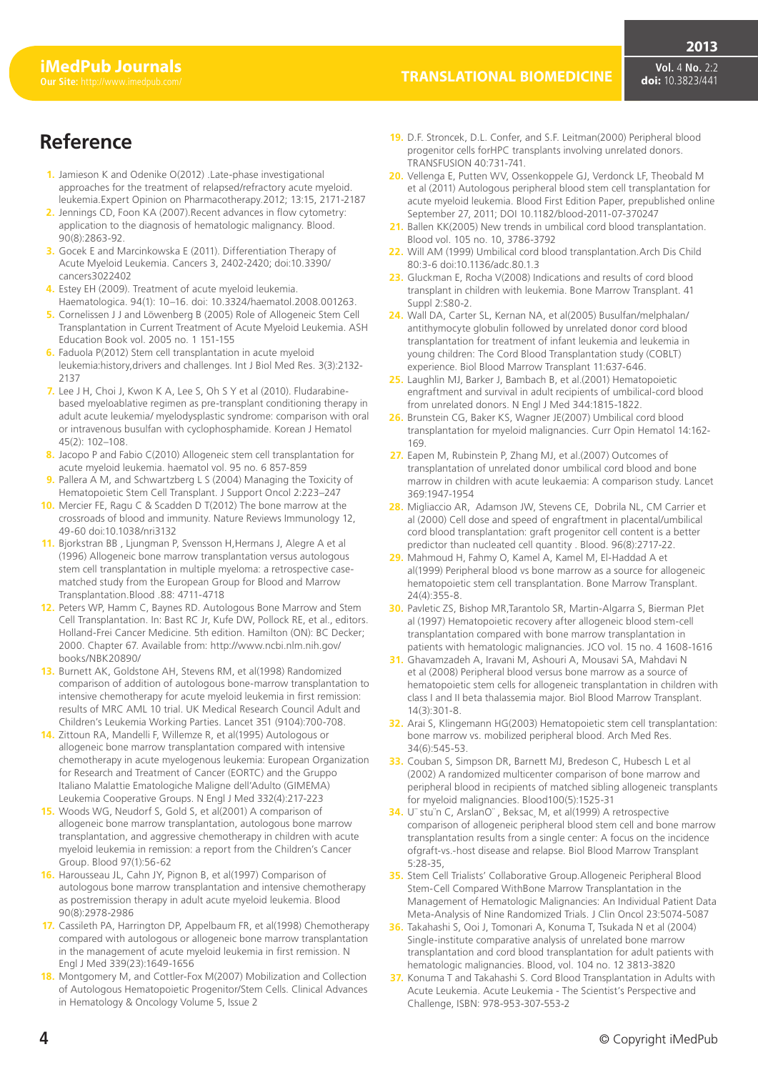### **Reference**

- **1.** Jamieson K and Odenike O(2012) .Late-phase investigational approaches for the treatment of relapsed/refractory acute myeloid. leukemia.Expert Opinion on Pharmacotherapy.2012; 13:15, 2171-2187
- **2.** Jennings CD, Foon KA (2007).Recent advances in flow cytometry: application to the diagnosis of hematologic malignancy. Blood. 90(8):2863-92.
- **3.** Gocek E and Marcinkowska E (2011). Differentiation Therapy of Acute Myeloid Leukemia. Cancers 3, 2402-2420; doi:10.3390/ cancers3022402
- **4.** Estey EH (2009). Treatment of acute myeloid leukemia. Haematologica. 94(1): 10–16. doi: 10.3324/haematol.2008.001263.
- **5.** Cornelissen J J and Löwenberg B (2005) Role of Allogeneic Stem Cell Transplantation in Current Treatment of Acute Myeloid Leukemia. ASH Education Book vol. 2005 no. 1 151-155
- **6.** Faduola P(2012) Stem cell transplantation in acute myeloid leukemia:history,drivers and challenges. Int J Biol Med Res. 3(3):2132- 2137
- **7.** Lee J H, Choi J, Kwon K A, Lee S, Oh S Y et al (2010). Fludarabinebased myeloablative regimen as pre-transplant conditioning therapy in adult acute leukemia/ myelodysplastic syndrome: comparison with oral or intravenous busulfan with cyclophosphamide. Korean J Hematol 45(2): 102–108.
- **8.** Jacopo P and Fabio C(2010) Allogeneic stem cell transplantation for acute myeloid leukemia. haematol vol. 95 no. 6 857-859
- **9.** Pallera A M, and Schwartzberg L S (2004) Managing the Toxicity of Hematopoietic Stem Cell Transplant. J Support Oncol 2:223–247
- **10.** Mercier FE, Ragu C & Scadden D T(2012) The bone marrow at the crossroads of blood and immunity. Nature Reviews Immunology 12, 49-60 doi:10.1038/nri3132
- **11.** Bjorkstran BB , Ljungman P, Svensson H,Hermans J, Alegre A et al (1996) Allogeneic bone marrow transplantation versus autologous stem cell transplantation in multiple myeloma: a retrospective casematched study from the European Group for Blood and Marrow Transplantation.Blood .88: 4711-4718
- **12.** Peters WP, Hamm C, Baynes RD. Autologous Bone Marrow and Stem Cell Transplantation. In: Bast RC Jr, Kufe DW, Pollock RE, et al., editors. Holland-Frei Cancer Medicine. 5th edition. Hamilton (ON): BC Decker; 2000. Chapter 67. Available from: [http://www.ncbi.nlm.nih.gov/](http://www.ncbi.nlm.nih.gov/books/NBK20890/) [books/NBK20890/](http://www.ncbi.nlm.nih.gov/books/NBK20890/)
- **13.** Burnett AK, Goldstone AH, Stevens RM, et al(1998) Randomized comparison of addition of autologous bone-marrow transplantation to intensive chemotherapy for acute myeloid leukemia in first remission: results of MRC AML 10 trial. UK Medical Research Council Adult and Children's Leukemia Working Parties. Lancet 351 (9104):700-708.
- **14.** Zittoun RA, Mandelli F, Willemze R, et al(1995) Autologous or allogeneic bone marrow transplantation compared with intensive chemotherapy in acute myelogenous leukemia: European Organization for Research and Treatment of Cancer (EORTC) and the Gruppo Italiano Malattie Ematologiche Maligne dell'Adulto (GIMEMA) Leukemia Cooperative Groups. N Engl J Med 332(4):217-223
- **15.** Woods WG, Neudorf S, Gold S, et al(2001) A comparison of allogeneic bone marrow transplantation, autologous bone marrow transplantation, and aggressive chemotherapy in children with acute myeloid leukemia in remission: a report from the Children's Cancer Group. Blood 97(1):56-62
- **16.** Harousseau JL, Cahn JY, Pignon B, et al(1997) Comparison of autologous bone marrow transplantation and intensive chemotherapy as postremission therapy in adult acute myeloid leukemia. Blood 90(8):2978-2986
- **17.** Cassileth PA, Harrington DP, Appelbaum FR, et al(1998) Chemotherapy compared with autologous or allogeneic bone marrow transplantation in the management of acute myeloid leukemia in first remission. N Engl J Med 339(23):1649-1656
- **18.** Montgomery M, and Cottler-Fox M(2007) Mobilization and Collection of Autologous Hematopoietic Progenitor/Stem Cells. Clinical Advances in Hematology & Oncology Volume 5, Issue 2
- **19.** D.F. Stroncek, D.L. Confer, and S.F. Leitman(2000) Peripheral blood progenitor cells forHPC transplants involving unrelated donors. TRANSFUSION 40:731-741.
- **20.** Vellenga E, Putten WV, Ossenkoppele GJ, Verdonck LF, Theobald M et al (2011) Autologous peripheral blood stem cell transplantation for acute myeloid leukemia. Blood First Edition Paper, prepublished online September 27, 2011; DOI 10.1182/blood-2011-07-370247
- **21.** [Ballen](http://bloodjournal.hematologylibrary.org/search?author1=Karen+K.+Ballen&sortspec=date&submit=Submit) KK(2005) New trends in umbilical cord blood transplantation. Blood vol. 105 no. 10, 3786-3792
- **22.** Will AM (1999) Umbilical cord blood transplantation.Arch Dis Child 80:3-6 doi:10.1136/adc.80.1.3
- **23.** [Gluckman E](http://www.ncbi.nlm.nih.gov/pubmed?term=Gluckman E%5BAuthor%5D&cauthor=true&cauthor_uid=18545251), [Rocha V](http://www.ncbi.nlm.nih.gov/pubmed?term=Rocha V%5BAuthor%5D&cauthor=true&cauthor_uid=18545251)(2008) Indications and results of cord blood transplant in children with leukemia. [Bone Marrow Transplant.](http://www.ncbi.nlm.nih.gov/pubmed/18545251) 41 Suppl 2:S80-2.
- **24.** Wall DA, Carter SL, Kernan NA, et al(2005) Busulfan/melphalan/ antithymocyte globulin followed by unrelated donor cord blood transplantation for treatment of infant leukemia and leukemia in young children: The Cord Blood Transplantation study (COBLT) experience. Biol Blood Marrow Transplant 11:637-646.
- **25.** Laughlin MJ, Barker J, Bambach B, et al.(2001) Hematopoietic engraftment and survival in adult recipients of umbilical-cord blood from unrelated donors. N Engl J Med 344:1815-1822.
- **26.** Brunstein CG, Baker KS, Wagner JE(2007) Umbilical cord blood transplantation for myeloid malignancies. Curr Opin Hematol 14:162- 169.
- **27.** Eapen M, Rubinstein P, Zhang MJ, et al.(2007) Outcomes of transplantation of unrelated donor umbilical cord blood and bone marrow in children with acute leukaemia: A comparison study. Lancet 369:1947-1954
- **28.** [Migliaccio](http://bloodjournal.hematologylibrary.org/search?author1=Anna+Rita+Migliaccio&sortspec=date&submit=Submit) AR, [Adamson](http://bloodjournal.hematologylibrary.org/search?author1=John+W.+Adamson&sortspec=date&submit=Submit) JW, [Stevens](http://bloodjournal.hematologylibrary.org/search?author1=Cladd+E.+Stevens&sortspec=date&submit=Submit) CE, [Dobrila](http://bloodjournal.hematologylibrary.org/search?author1=N.+Ludy+Dobrila&sortspec=date&submit=Submit) NL, C[M Carrier](http://bloodjournal.hematologylibrary.org/search?author1=Carmelita+M.+Carrier&sortspec=date&submit=Submit) et al (2000) Cell dose and speed of engraftment in placental/umbilical cord blood transplantation: graft progenitor cell content is a better predictor than nucleated cell quantity . [Blood.](http://www.ncbi.nlm.nih.gov/pubmed/11023503) 96(8):2717-22.
- **29.** [Mahmoud H,](http://www.ncbi.nlm.nih.gov/pubmed?term=Mahmoud H%5BAuthor%5D&cauthor=true&cauthor_uid=10467322) [Fahmy O](http://www.ncbi.nlm.nih.gov/pubmed?term=Fahmy O%5BAuthor%5D&cauthor=true&cauthor_uid=10467322), [Kamel A](http://www.ncbi.nlm.nih.gov/pubmed?term=Kamel A%5BAuthor%5D&cauthor=true&cauthor_uid=10467322), [Kamel M,](http://www.ncbi.nlm.nih.gov/pubmed?term=Kamel M%5BAuthor%5D&cauthor=true&cauthor_uid=10467322) [El-Haddad A](http://www.ncbi.nlm.nih.gov/pubmed?term=El-Haddad A%5BAuthor%5D&cauthor=true&cauthor_uid=10467322) et al(1999) Peripheral blood vs bone marrow as a source for allogeneic hematopoietic stem cell transplantation. [Bone Marrow Transplant.](http://www.ncbi.nlm.nih.gov/pubmed/10467322)  24(4):355-8.
- **30.** Pavletic ZS, Bishop MR,Tarantolo SR, Martin-Algarra S, Bierman PJet al (1997) Hematopoietic recovery after allogeneic blood stem-cell transplantation compared with bone marrow transplantation in patients with hematologic malignancies. JCO vol. 15 no. 4 1608-1616
- **31.** [Ghavamzadeh A](http://www.ncbi.nlm.nih.gov/pubmed?term=Ghavamzadeh A%5BAuthor%5D&cauthor=true&cauthor_uid=18275896), [Iravani M,](http://www.ncbi.nlm.nih.gov/pubmed?term=Iravani M%5BAuthor%5D&cauthor=true&cauthor_uid=18275896) [Ashouri A,](http://www.ncbi.nlm.nih.gov/pubmed?term=Ashouri A%5BAuthor%5D&cauthor=true&cauthor_uid=18275896) Mousavi SA, [Mahdavi N](http://www.ncbi.nlm.nih.gov/pubmed?term=Mahdavi N%5BAuthor%5D&cauthor=true&cauthor_uid=18275896)  et al (2008) Peripheral blood versus bone marrow as a source of hematopoietic stem cells for allogeneic transplantation in children with class I and II beta thalassemia major. [Biol Blood Marrow Transplant.](http://www.ncbi.nlm.nih.gov/pubmed/18275896)  14(3):301-8.
- **32.** A[rai S,](http://www.ncbi.nlm.nih.gov/pubmed?term=Arai S%5BAuthor%5D&cauthor=true&cauthor_uid=14734094) K[lingemann HG\(2](http://www.ncbi.nlm.nih.gov/pubmed?term=Klingemann HG%5BAuthor%5D&cauthor=true&cauthor_uid=14734094)003) Hematopoietic stem cell transplantation: bone marrow vs. mobilized peripheral blood. A[rch Med Res.](http://www.ncbi.nlm.nih.gov/pubmed/14734094)  34(6):545-53.
- **33.** Couban S, Simpson DR, Barnett MJ, Bredeson C, Hubesch L et al (2002) A randomized multicenter comparison of bone marrow and peripheral blood in recipients of matched sibling allogeneic transplants for myeloid malignancies. Blood100(5):1525-31
- **34.** U¨ stu¨n C, ArslanO¨ , Beksac¸ M, et al(1999) A retrospective comparison of allogeneic peripheral blood stem cell and bone marrow transplantation results from a single center: A focus on the incidence ofgraft-vs.-host disease and relapse. Biol Blood Marrow Transplant 5:28-35,
- **35.** Stem Cell Trialists' Collaborative Group.Allogeneic Peripheral Blood Stem-Cell Compared WithBone Marrow Transplantation in the Management of Hematologic Malignancies: An Individual Patient Data Meta-Analysis of Nine Randomized Trials. J Clin Oncol 23:5074-5087
- **36.** [Takahashi S,](http://www.ncbi.nlm.nih.gov/pubmed?term=Takahashi S%5BAuthor%5D&cauthor=true&cauthor_uid=17038536) [Ooi J,](http://www.ncbi.nlm.nih.gov/pubmed?term=Ooi J%5BAuthor%5D&cauthor=true&cauthor_uid=17038536) [Tomonari A,](http://www.ncbi.nlm.nih.gov/pubmed?term=Tomonari A%5BAuthor%5D&cauthor=true&cauthor_uid=17038536) K[onuma T,](http://www.ncbi.nlm.nih.gov/pubmed?term=Konuma T%5BAuthor%5D&cauthor=true&cauthor_uid=17038536) [Tsukada N](http://www.ncbi.nlm.nih.gov/pubmed?term=Tsukada N%5BAuthor%5D&cauthor=true&cauthor_uid=17038536) et al (2004) Single-institute comparative analysis of unrelated bone marrow transplantation and cord blood transplantation for adult patients with hematologic malignancies. Blood, vol. 104 no. 12 3813-3820
- **37.** Konuma T and Takahashi S. Cord Blood Transplantation in Adults with Acute Leukemia. Acute Leukemia - The Scientist's Perspective and Challenge, ISBN: 978-953-307-553-2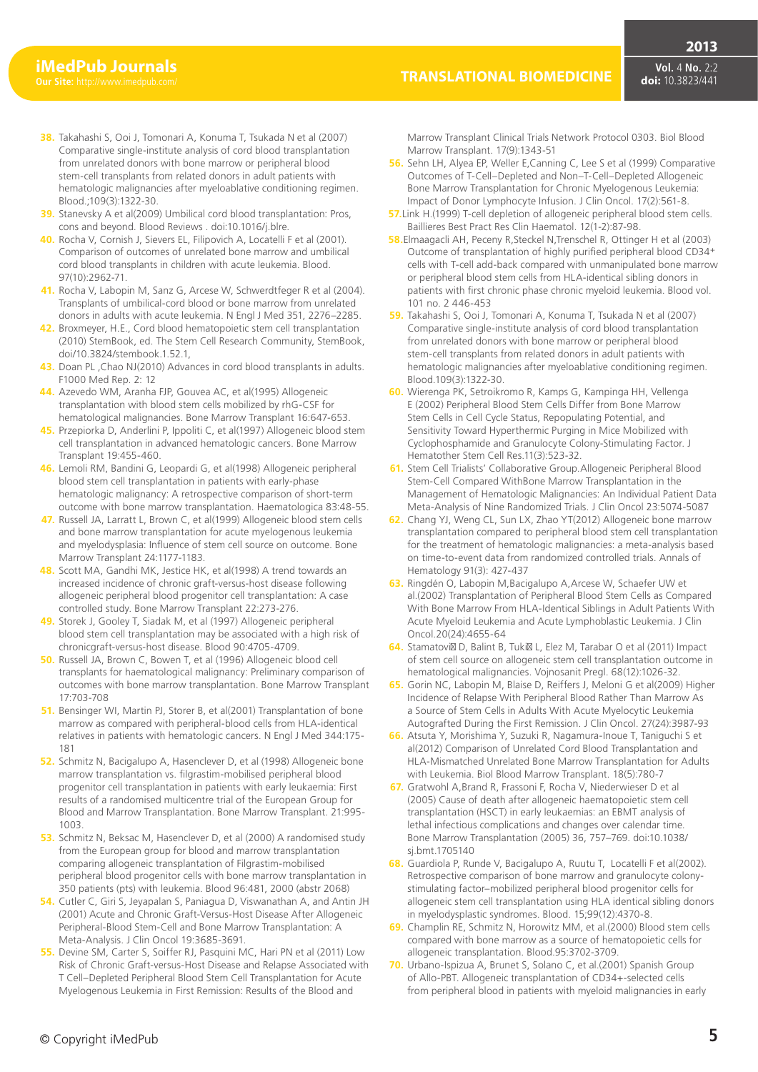**Vol.** 4 **No.** 2:2 **doi:** 10.3823/441

- **38.** [Takahashi S,](http://www.ncbi.nlm.nih.gov/pubmed?term=Takahashi S%5BAuthor%5D&cauthor=true&cauthor_uid=17038536) [Ooi J,](http://www.ncbi.nlm.nih.gov/pubmed?term=Ooi J%5BAuthor%5D&cauthor=true&cauthor_uid=17038536) [Tomonari A,](http://www.ncbi.nlm.nih.gov/pubmed?term=Tomonari A%5BAuthor%5D&cauthor=true&cauthor_uid=17038536) K[onuma T,](http://www.ncbi.nlm.nih.gov/pubmed?term=Konuma T%5BAuthor%5D&cauthor=true&cauthor_uid=17038536) T[sukada N](http://www.ncbi.nlm.nih.gov/pubmed?term=Tsukada N%5BAuthor%5D&cauthor=true&cauthor_uid=17038536) et al (2007) Comparative single-institute analysis of cord blood transplantation from unrelated donors with bone marrow or peripheral blood stem-cell transplants from related donors in adult patients with hematologic malignancies after myeloablative conditioning regimen. B[lood.;1](http://www.ncbi.nlm.nih.gov/pubmed/17038536)09(3):1322-30.
- **39.** Stanevsky A et al(2009) Umbilical cord blood transplantation: Pros, cons and beyond. Blood Reviews . doi:10.1016/j.blre.
- **40.** R[ocha V,](http://www.ncbi.nlm.nih.gov/pubmed?term=Rocha V%5BAuthor%5D&cauthor=true&cauthor_uid=11342418) C[ornish J,](http://www.ncbi.nlm.nih.gov/pubmed?term=Cornish J%5BAuthor%5D&cauthor=true&cauthor_uid=11342418) S[ievers EL,](http://www.ncbi.nlm.nih.gov/pubmed?term=Sievers EL%5BAuthor%5D&cauthor=true&cauthor_uid=11342418) F[ilipovich A,](http://www.ncbi.nlm.nih.gov/pubmed?term=Filipovich A%5BAuthor%5D&cauthor=true&cauthor_uid=11342418) [Locatelli F e](http://www.ncbi.nlm.nih.gov/pubmed?term=Locatelli F%5BAuthor%5D&cauthor=true&cauthor_uid=11342418)t al (2001). Comparison of outcomes of unrelated bone marrow and umbilical cord blood transplants in children with acute leukemia. [Blood.](http://www.ncbi.nlm.nih.gov/pubmed/11342418)  97(10):2962-71.
- **41.** R[ocha V,](http://www.ncbi.nlm.nih.gov/pubmed?term=Rocha V%5BAuthor%5D&cauthor=true&cauthor_uid=15564544) L[abopin M,](http://www.ncbi.nlm.nih.gov/pubmed?term=Labopin M%5BAuthor%5D&cauthor=true&cauthor_uid=15564544) S[anz G,](http://www.ncbi.nlm.nih.gov/pubmed?term=Sanz G%5BAuthor%5D&cauthor=true&cauthor_uid=15564544) [Arcese W,](http://www.ncbi.nlm.nih.gov/pubmed?term=Arcese W%5BAuthor%5D&cauthor=true&cauthor_uid=15564544) S[chwerdtfeger R](http://www.ncbi.nlm.nih.gov/pubmed?term=Schwerdtfeger R%5BAuthor%5D&cauthor=true&cauthor_uid=15564544) et al (2004). Transplants of umbilical-cord blood or bone marrow from unrelated donors in adults with acute leukemia. N Engl J Med 351, 2276–2285.
- **42.** Broxmeyer, H.E., Cord blood hematopoietic stem cell transplantation (2010) StemBook, ed. The Stem Cell Research Community, StemBook, doi/10.3824/stembook.1.52.1,
- **43.** D[oan P](http://www.ncbi.nlm.nih.gov/sites/entrez?cmd=search&db=PubMed&term= Doan%2BPL%5bauth%5d)L ,[Chao](http://www.ncbi.nlm.nih.gov/sites/entrez?cmd=search&db=PubMed&term= Chao%2BNJ%5bauth%5d) NJ(2010) Advances in cord blood transplants in adults. F1000 Med Rep. 2: 12
- **44.** Azevedo WM, Aranha FJP, Gouvea AC, et al(1995) Allogeneic transplantation with blood stem cells mobilized by rhG-CSF for hematological malignancies. Bone Marrow Transplant 16:647-653.
- **45.** Przepiorka D, Anderlini P, Ippoliti C, et al(1997) Allogeneic blood stem cell transplantation in advanced hematologic cancers. Bone Marrow Transplant 19:455-460.
- **46.** Lemoli RM, Bandini G, Leopardi G, et al(1998) Allogeneic peripheral blood stem cell transplantation in patients with early-phase hematologic malignancy: A retrospective comparison of short-term outcome with bone marrow transplantation. Haematologica 83:48-55.
- **47.** Russell JA, Larratt L, Brown C, et al(1999) Allogeneic blood stem cells and bone marrow transplantation for acute myelogenous leukemia and myelodysplasia: Influence of stem cell source on outcome. Bone Marrow Transplant 24:1177-1183.
- **48.** Scott MA, Gandhi MK, Jestice HK, et al(1998) A trend towards an increased incidence of chronic graft-versus-host disease following allogeneic peripheral blood progenitor cell transplantation: A case controlled study. Bone Marrow Transplant 22:273-276.
- **49.** Storek J, Gooley T, Siadak M, et al (1997) Allogeneic peripheral blood stem cell transplantation may be associated with a high risk of chronicgraft-versus-host disease. Blood 90:4705-4709.
- **50.** Russell JA, Brown C, Bowen T, et al (1996) Allogeneic blood cell transplants for haematological malignancy: Preliminary comparison of outcomes with bone marrow transplantation. Bone Marrow Transplant 17:703-708
- **51.** Bensinger WI, Martin PJ, Storer B, et al(2001) Transplantation of bone marrow as compared with peripheral-blood cells from HLA-identical relatives in patients with hematologic cancers. N Engl J Med 344:175- 181
- **52.** Schmitz N, Bacigalupo A, Hasenclever D, et al (1998) Allogeneic bone marrow transplantation vs. filgrastim-mobilised peripheral blood progenitor cell transplantation in patients with early leukaemia: First results of a randomised multicentre trial of the European Group for Blood and Marrow Transplantation. Bone Marrow Transplant. 21:995- 1003.
- **53.** Schmitz N, Beksac M, Hasenclever D, et al (2000) A randomised study from the European group for blood and marrow transplantation comparing allogeneic transplantation of Filgrastim-mobilised peripheral blood progenitor cells with bone marrow transplantation in 350 patients (pts) with leukemia. Blood 96:481, 2000 (abstr 2068)
- **54.** Cutler C, Giri S, Jeyapalan S, Paniagua D, Viswanathan A, and Antin JH (2001) Acute and Chronic Graft-Versus-Host Disease After Allogeneic Peripheral-Blood Stem-Cell and Bone Marrow Transplantation: A Meta-Analysis. J Clin Oncol 19:3685-3691.
- **55.** D[evine SM,](http://www.ncbi.nlm.nih.gov/pubmed?term=Devine SM%5BAuthor%5D&cauthor=true&cauthor_uid=21320619) C[arter S,](http://www.ncbi.nlm.nih.gov/pubmed?term=Carter S%5BAuthor%5D&cauthor=true&cauthor_uid=21320619) S[oiffer RJ,](http://www.ncbi.nlm.nih.gov/pubmed?term=Soiffer RJ%5BAuthor%5D&cauthor=true&cauthor_uid=21320619) P[asquini MC,](http://www.ncbi.nlm.nih.gov/pubmed?term=Pasquini MC%5BAuthor%5D&cauthor=true&cauthor_uid=21320619) H[ari PN](http://www.ncbi.nlm.nih.gov/pubmed?term=Hari PN%5BAuthor%5D&cauthor=true&cauthor_uid=21320619) et al (2011) Low Risk of Chronic Graft-versus-Host Disease and Relapse Associated with T Cell–Depleted Peripheral Blood Stem Cell Transplantation for Acute Myelogenous Leukemia in First Remission: Results of the Blood and

Marrow Transplant Clinical Trials Network Protocol 0303. B[iol Blood](http://www.ncbi.nlm.nih.gov/pubmed/21320619)  [Marrow Transplant. 1](http://www.ncbi.nlm.nih.gov/pubmed/21320619)7(9):1343-51

- **56.** Sehn LH, Alyea EP, Weller E,Canning C, Lee S et al (1999) Comparative Outcomes of T-Cell–Depleted and Non–T-Cell–Depleted Allogeneic Bone Marrow Transplantation for Chronic Myelogenous Leukemia: Impact of Donor Lymphocyte Infusion. J [Clin Oncol.](http://www.ncbi.nlm.nih.gov/pubmed/10080600) 17(2):561-8.
- **57.**L[ink H.\(](http://www.ncbi.nlm.nih.gov/pubmed?term=Link H%5BAuthor%5D&cauthor=true&cauthor_uid=11000985)1999) T-cell depletion of allogeneic peripheral blood stem cells. B[aillieres Best Pract Res Clin Haematol.](http://www.ncbi.nlm.nih.gov/pubmed/11000985) 12(1-2):87-98.
- **58.**Elmaagacli AH, Peceny R,Steckel N,Trenschel R, Ottinger H et al (2003) Outcome of transplantation of highly purified peripheral blood CD34<sup>+</sup> cells with T-cell add-back compared with unmanipulated bone marrow or peripheral blood stem cells from HLA-identical sibling donors in patients with first chronic phase chronic myeloid leukemia. Blood vol. 101 no. 2 446-453
- **59.** [Takahashi S,](http://www.ncbi.nlm.nih.gov/pubmed?term=Takahashi S%5BAuthor%5D&cauthor=true&cauthor_uid=17038536) [Ooi J,](http://www.ncbi.nlm.nih.gov/pubmed?term=Ooi J%5BAuthor%5D&cauthor=true&cauthor_uid=17038536) [Tomonari A,](http://www.ncbi.nlm.nih.gov/pubmed?term=Tomonari A%5BAuthor%5D&cauthor=true&cauthor_uid=17038536) K[onuma T,](http://www.ncbi.nlm.nih.gov/pubmed?term=Konuma T%5BAuthor%5D&cauthor=true&cauthor_uid=17038536) [Tsukada N](http://www.ncbi.nlm.nih.gov/pubmed?term=Tsukada N%5BAuthor%5D&cauthor=true&cauthor_uid=17038536) et al (2007) Comparative single-institute analysis of cord blood transplantation from unrelated donors with bone marrow or peripheral blood stem-cell transplants from related donors in adult patients with hematologic malignancies after myeloablative conditioning regimen. B[lood.10](http://www.ncbi.nlm.nih.gov/pubmed/17038536)9(3):1322-30.
- **60.** Wierenga PK, [Setroikromo R,](http://www.ncbi.nlm.nih.gov/pubmed?term=Setroikromo R%5BAuthor%5D&cauthor=true&cauthor_uid=12183837) K[amps G,](http://www.ncbi.nlm.nih.gov/pubmed?term=Kamps G%5BAuthor%5D&cauthor=true&cauthor_uid=12183837) K[ampinga HH,](http://www.ncbi.nlm.nih.gov/pubmed?term=Kampinga HH%5BAuthor%5D&cauthor=true&cauthor_uid=12183837) Vellenga E (2002) Peripheral Blood Stem Cells Differ from Bone Marrow Stem Cells in Cell Cycle Status, Repopulating Potential, and Sensitivity Toward Hyperthermic Purging in Mice Mobilized with Cyclophosphamide and Granulocyte Colony-Stimulating Factor. J [Hematother Stem Cell Res.1](http://www.ncbi.nlm.nih.gov/pubmed/12183837)1(3):523-32.
- **61.** Stem Cell Trialists' Collaborative Group.Allogeneic Peripheral Blood Stem-Cell Compared WithBone Marrow Transplantation in the Management of Hematologic Malignancies: An Individual Patient Data Meta-Analysis of Nine Randomized Trials. J Clin Oncol 23:5074-5087
- **62.** Chang YJ, Weng CL, Sun LX, Zhao YT(2012) Allogeneic bone marrow transplantation compared to peripheral blood stem cell transplantation for the treatment of hematologic malignancies: a meta-analysis based on time-to-event data from randomized controlled trials. Annals of Hematology 91(3): 427-437
- **63.** Ringdén O, Labopin M,Bacigalupo A,Arcese W, Schaefer UW et al.(2002) Transplantation of Peripheral Blood Stem Cells as Compared With Bone Marrow From HLA-Identical Siblings in Adult Patients With Acute Myeloid Leukemia and Acute Lymphoblastic Leukemia. J Clin Oncol.20(24):4655-64
- **64.** Stamatovi D, [Balint B,](http://www.ncbi.nlm.nih.gov/pubmed?term=Balint B%5BAuthor%5D&cauthor=true&cauthor_uid=22352263) Tuki L, E[lez M,](http://www.ncbi.nlm.nih.gov/pubmed?term=Elez M%5BAuthor%5D&cauthor=true&cauthor_uid=22352263) [Tarabar O e](http://www.ncbi.nlm.nih.gov/pubmed?term=Tarabar O%5BAuthor%5D&cauthor=true&cauthor_uid=22352263)t al (2011) Impact of stem cell source on allogeneic stem cell transplantation outcome in hematological malignancies. [Vojnosanit Pregl.](http://www.ncbi.nlm.nih.gov/pubmed/22352263) 68(12):1026-32.
- **65.** G[orin NC,](http://www.ncbi.nlm.nih.gov/pubmed?term=Gorin NC%5BAuthor%5D&cauthor=true&cauthor_uid=19597030) L[abopin M,](http://www.ncbi.nlm.nih.gov/pubmed?term=Labopin M%5BAuthor%5D&cauthor=true&cauthor_uid=19597030) Blaise D, [Reiffers J,](http://www.ncbi.nlm.nih.gov/pubmed?term=Reiffers J%5BAuthor%5D&cauthor=true&cauthor_uid=19597030) [Meloni G](http://www.ncbi.nlm.nih.gov/pubmed?term=Meloni G%5BAuthor%5D&cauthor=true&cauthor_uid=19597030) et al(2009) Higher Incidence of Relapse With Peripheral Blood Rather Than Marrow As a Source of Stem Cells in Adults With Acute Myelocytic Leukemia Autografted During the First Remission. J [Clin Oncol. 2](http://www.ncbi.nlm.nih.gov/pubmed/19597030)7(24):3987-93
- **66.** Atsuta Y, Morishima Y, Suzuki R, Nagamura-Inoue T, Taniguchi S et al(2012) Comparison of Unrelated Cord Blood Transplantation and HLA-Mismatched Unrelated Bone Marrow Transplantation for Adults with Leukemia. [Biol Blood Marrow Transplant.](http://www.ncbi.nlm.nih.gov/pubmed/22008851) 18(5):780-7
- **67.** Gratwohl A,Brand R, Frassoni F, Rocha V, Niederwieser D et al (2005) Cause of death after allogeneic haematopoietic stem cell transplantation (HSCT) in early leukaemias: an EBMT analysis of lethal infectious complications and changes over calendar time. Bone Marrow Transplantation (2005) 36, 757–769. doi:10.1038/ sj.bmt.1705140
- **68.** G[uardiola](http://bloodjournal.hematologylibrary.org/search?author1=Philippe+Guardiola&sortspec=date&submit=Submit) P, [Runde V](http://bloodjournal.hematologylibrary.org/search?author1=Volker+Runde&sortspec=date&submit=Submit), Bacigalupo A, [Ruutu T](http://bloodjournal.hematologylibrary.org/search?author1=Tapani+Ruutu&sortspec=date&submit=Submit), Locatelli F et al(2002). Retrospective comparison of bone marrow and granulocyte colonystimulating factor–mobilized peripheral blood progenitor cells for allogeneic stem cell transplantation using HLA identical sibling donors in myelodysplastic syndromes. B[lood. 1](http://www.ncbi.nlm.nih.gov/pubmed/12036864)5;99(12):4370-8.
- **69.** Champlin RE, Schmitz N, Horowitz MM, et al.(2000) Blood stem cells compared with bone marrow as a source of hematopoietic cells for allogeneic transplantation. Blood.95:3702-3709.
- **70.** Urbano-Ispizua A, Brunet S, Solano C, et al.(2001) Spanish Group of Allo-PBT. Allogeneic transplantation of CD34+-selected cells from peripheral blood in patients with myeloid malignancies in early